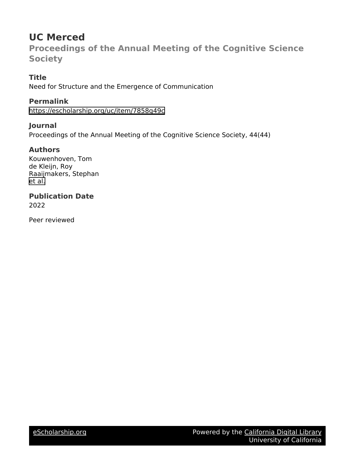# **UC Merced**

**Proceedings of the Annual Meeting of the Cognitive Science Society**

# **Title**

Need for Structure and the Emergence of Communication

# **Permalink**

<https://escholarship.org/uc/item/7858g49c>

# **Journal**

Proceedings of the Annual Meeting of the Cognitive Science Society, 44(44)

# **Authors**

Kouwenhoven, Tom de Kleijn, Roy Raaijmakers, Stephan [et al.](https://escholarship.org/uc/item/7858g49c#author)

# **Publication Date**

2022

Peer reviewed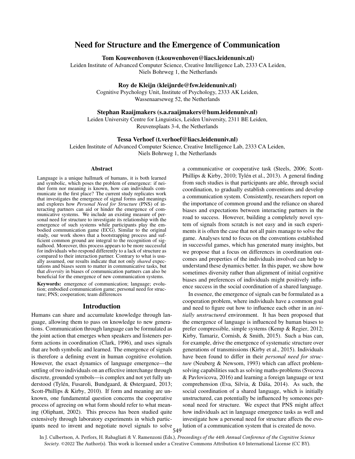# Need for Structure and the Emergence of Communication

Tom Kouwenhoven (t.kouwenhoven@liacs.leidenuniv.nl)

Leiden Institute of Advanced Computer Science, Creative Intelligence Lab, 2333 CA Leiden, Niels Bohrweg 1, the Netherlands

# Roy de Kleijn (kleijnrde@fsw.leidenuniv.nl)

Cognitive Psychology Unit, Institute of Psychology, 2333 AK Leiden, Wassenaarseweg 52, the Netherlands

### Stephan Raaijmakers (s.a.raaijmakers@hum.leidenuniv.nl)

Leiden University Centre for Linguistics, Leiden University, 2311 BE Leiden, Reuvensplaats 3-4, the Netherlands

#### Tessa Verhoef (t.verhoef@liacs.leidenuniv.nl)

Leiden Institute of Advanced Computer Science, Creative Intelligence Lab, 2333 CA Leiden, Niels Bohrweg 1, the Netherlands

#### Abstract

Language is a unique hallmark of humans, it is both learned and symbolic, which poses the problem of emergence: if neither form nor meaning is known, how can individuals communicate in the first place? The current study replicates work that investigates the emergence of signal forms and meanings and explores how *Personal Need for Structure* (PNS) of interacting partners can aid or hinder the emergence of communicative systems. We include an existing measure of personal need for structure to investigate its relationship with the emergence of such systems while participants play the embodied communication game (ECG). Similar to the original study, our work shows that a bootstrapping process and sufficient common ground are integral to the recognition of signalhood. Moreover, this process appears to be more successful for individuals who respond differently to a lack of structure as compared to their interaction partner. Contrary to what is usually assumed, our results indicate that not only *shared* expectations and biases seem to matter in communicative tasks, but that *diversity* in biases of communication partners can also be beneficial for the emergence of new communication systems.

Keywords: emergence of communication; language; evolution; embodied communication game; personal need for structure; PNS; cooperation; team differences

#### Introduction

Humans can share and accumulate knowledge through language, allowing them to pass on knowledge to new generations. Communication through language can be formulated as the joint action that emerges when speakers and listeners perform actions in coordination [\(Clark, 1996\)](#page-6-0), and uses signals that are both symbolic and learned. The emergence of signals is therefore a defining event in human cognitive evolution. However, the exact dynamics of language emergence—the settling of two individuals on an effective interchange through discrete, grounded symbols—is complex and not yet fully understood (Tylén, Fusaroli, Bundgaard, & Østergaard, 2013; [Scott-Phillips & Kirby, 2010\)](#page-7-1). If form and meaning are unknown, one fundamental question concerns the cooperative process of agreeing on what form should refer to what meaning [\(Oliphant, 2002\)](#page-7-2). This process has been studied quite extensively through laboratory experiments in which participants need to invent and negotiate novel signals to solve a communicative or cooperative task [\(Steels, 2006;](#page-7-3) [Scott-](#page-7-1)[Phillips & Kirby, 2010;](#page-7-1) Tylén et al., 2013). A general finding from such studies is that participants are able, through social coordination, to gradually establish conventions and develop a communication system. Consistently, researchers report on the importance of common ground and the reliance on shared biases and expectations between interacting partners in the road to success. However, building a completely novel system of signals from scratch is not easy and in such experiments it is often the case that not all pairs manage to solve the game. Analyses tend to focus on the conventions established in successful games, which has generated many insights, but we propose that a focus on differences in coordination outcomes and properties of the individuals involved can help to understand these dynamics better. In this paper, we show how sometimes diversity rather than alignment of initial cognitive biases and preferences of individuals might positively influence success in the social coordination of a shared language.

In essence, the emergence of signals can be formulated as a cooperation problem, where individuals have a common goal and need to figure out how to influence each other in an *initially unstructured* environment. It has been proposed that the emergence of language is influenced by human biases to prefer compressible, simple systems [\(Kemp & Regier, 2012;](#page-7-4) [Kirby, Tamariz, Cornish, & Smith, 2015\)](#page-7-5). Such a bias can, for example, drive the emergence of systematic structure over generations of transmissions [\(Kirby et al., 2015\)](#page-7-5). Individuals have been found to differ in their *personal need for structure* [\(Neuberg & Newsom, 1993\)](#page-7-6) which can affect problemsolving capabilities such as solving maths-problems [\(Svecova](#page-7-7) [& Pavlovicova, 2016\)](#page-7-7) and learning a foreign language or text comprehension (Eva, Silvia,  $& Dáša, 2014$ ). As such, the social coordination of a shared language, which is initially unstructured, can potentially be influenced by someones personal need for structure. We expect that PNS might affect how individuals act in language emergence tasks as well and investigate how a personal need for structure affects the evolution of a communication system that is created de novo.

549 In J. Culbertson, A. Perfors, H. Rabagliati & V. Ramenzoni (Eds.), *Proceedings of the 44th Annual Conference of the Cognitive Science Society*. ©2022 The Author(s). This work is licensed under a Creative Commons Attribution 4.0 International License (CC BY).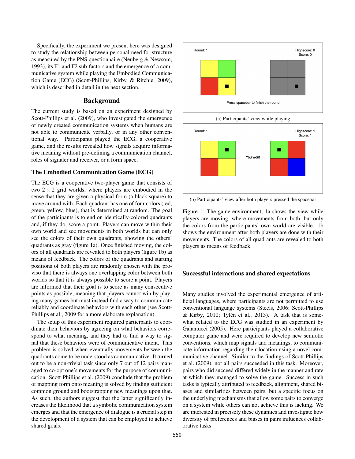Specifically, the experiment we present here was designed to study the relationship between personal need for structure as measured by the PNS questionnaire [\(Neuberg & Newsom,](#page-7-6) [1993\)](#page-7-6), its F1 and F2 sub-factors and the emergence of a communicative system while playing the Embodied Communication Game (ECG) [\(Scott-Phillips, Kirby, & Ritchie, 2009\)](#page-7-8), which is described in detail in the next section.

#### Background

The current study is based on an experiment designed by [Scott-Phillips et al.](#page-7-8) [\(2009\)](#page-7-8), who investigated the emergence of newly created communication systems when humans are not able to communicate verbally, or in any other conventional way. Participants played the ECG, a cooperative game, and the results revealed how signals acquire informative meaning without pre-defining a communication channel, roles of signaler and receiver, or a form space.

# The Embodied Communication Game (ECG)

The ECG is a cooperative two-player game that consists of two  $2 \times 2$  grid worlds, where players are embodied in the sense that they are given a physical form (a black square) to move around with. Each quadrant has one of four colors (red, green, yellow, blue), that is determined at random. The goal of the participants is to end on identically-colored quadrants and, if they do, score a point. Players can move within their own world and see movements in both worlds but can only see the colors of their own quadrants, showing the others' quadrants as gray (figure [1a\)](#page-2-0). Once finished moving, the colors of all quadrants are revealed to both players (figure [1b\)](#page-2-0) as means of feedback. The colors of the quadrants and starting positions of both players are randomly chosen with the proviso that there is always one overlapping color between both worlds so that it is always possible to score a point. Players are informed that their goal is to score as many consecutive points as possible, meaning that players cannot win by playing many games but must instead find a way to communicate reliably and coordinate behaviors with each other (see [Scott-](#page-7-8)[Phillips et al., 2009](#page-7-8) for a more elaborate explanation).

The setup of this experiment required participants to coordinate their behaviors by agreeing on what behaviors correspond to what meaning, and they had to find a way to signal that these behaviors were of communicative intent. This problem is solved when eventually movements between the quadrants come to be understood as communicative. It turned out to be a non-trivial task since only 7 out of 12 pairs managed to co-opt one's movements for the purpose of communication. [Scott-Phillips et al.](#page-7-8) [\(2009\)](#page-7-8) conclude that the problem of mapping form onto meaning is solved by finding sufficient common ground and bootstrapping new meanings upon that. As such, the authors suggest that the latter significantly increases the likelihood that a symbolic communication system emerges and that the emergence of dialogue is a crucial step in the development of a system that can be employed to achieve shared goals.

<span id="page-2-0"></span>

(a) Participants' view while playing



(b) Participants' view after both players pressed the spacebar

Figure 1: The game environment, [1a](#page-2-0) shows the view while players are moving, where movements from both, but only the colors from the participants' own world are visible. [1b](#page-2-0) shows the environment after both players are done with their movements. The colors of all quadrants are revealed to both players as means of feedback.

#### Successful interactions and shared expectations

Many studies involved the experimental emergence of artificial languages, where participants are not permitted to use conventional language systems [\(Steels, 2006;](#page-7-3) [Scott-Phillips](#page-7-1)  $&$  Kirby, 2010; Tylén et al., 2013). A task that is somewhat related to the ECG was studied in an experiment by [Galantucci](#page-6-2) [\(2005\)](#page-6-2). Here participants played a collaborative computer game and were required to develop new semiotic conventions, which map signals and meanings, to communicate information regarding their location using a novel communicative channel. Similar to the findings of [Scott-Phillips](#page-7-8) [et al.](#page-7-8) [\(2009\)](#page-7-8), not all pairs succeeded in this task. Moreover, pairs who did succeed differed widely in the manner and rate at which they managed to solve the game. Success in such tasks is typically attributed to feedback, alignment, shared biases and similarities between pairs, but a specific focus on the underlying mechanisms that allow some pairs to converge on a system while others can not achieve this is lacking. We are interested in precisely these dynamics and investigate how diversity of preferences and biases in pairs influences collaborative tasks.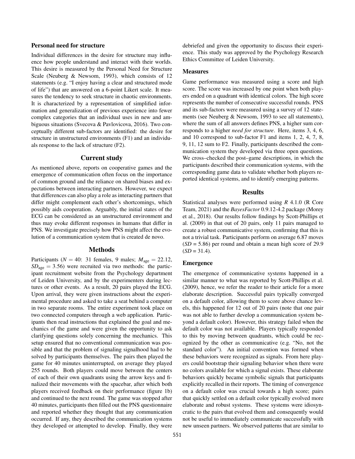### Personal need for structure

Individual differences in the desire for structure may influence how people understand and interact with their worlds. This desire is measured by the Personal Need for Structure Scale [\(Neuberg & Newsom, 1993\)](#page-7-6), which consists of 12 statements (e.g. "I enjoy having a clear and structured mode of life") that are answered on a 6-point Likert scale. It measures the tendency to seek structure in chaotic environments. It is characterized by a representation of simplified information and generalization of previous experience into fewer complex categories that an individual uses in new and ambiguous situations [\(Svecova & Pavlovicova, 2016\)](#page-7-7). Two conceptually different sub-factors are identified: the desire for structure in unstructured environments (F1) and an individuals response to the lack of structure (F2).

#### Current study

As mentioned above, reports on cooperative games and the emergence of communication often focus on the importance of common ground and the reliance on shared biases and expectations between interacting partners. However, we expect that differences can also play a role as interacting partners that differ might complement each other's shortcomings, which possibly aids cooperation. Arguably, the initial states of the ECG can be considered as an unstructured environment and thus may evoke different responses in humans that differ in PNS. We investigate precisely how PNS might affect the evolution of a communication system that is created de novo.

# Methods

Participants ( $N = 40$ : 31 females, 9 males;  $M_{\text{age}} = 22.12$ ,  $SD<sub>age</sub> = 3.56$ ) were recruited via two methods: the participant recruitment website from the Psychology department of Leiden University, and by the experimenters during lectures or other events. As a result, 20 pairs played the ECG. Upon arrival, they were given instructions about the experimental procedure and asked to take a seat behind a computer in two separate rooms. The entire experiment took place on two connected computers through a web application. Participants then read instructions that explained the goal and mechanics of the game and were given the opportunity to ask clarifying questions solely concerning the mechanics. This setup ensured that no conventional communication was possible and that the problem of signaling signalhood had to be solved by participants themselves. The pairs then played the game for 40 minutes uninterrupted, on average they played 255 rounds. Both players could move between the centers of each of their own quadrants using the arrow keys and finalized their movements with the spacebar, after which both players received feedback on their performance (figure [1b\)](#page-2-0) and continued to the next round. The game was stopped after 40 minutes, participants then filled out the PNS questionnaire and reported whether they thought that any communication occurred. If any, they described the communication systems they developed or attempted to develop. Finally, they were debriefed and given the opportunity to discuss their experience. This study was approved by the Psychology Research Ethics Committee of Leiden University.

### Measures

Game performance was measured using a score and high score. The score was increased by one point when both players ended on a quadrant with identical colors. The high score represents the number of consecutive successful rounds. PNS and its sub-factors were measured using a survey of 12 statements (see [Neuberg & Newsom, 1993](#page-7-6) to see all statements), where the sum of all answers defines PNS, a higher sum corresponds to a higher *need for structure*. Here, items 3, 4, 6, and 10 correspond to sub-factor F1 and items 1, 2, 4, 7, 8, 9, 11, 12 sum to F2. Finally, participants described the communication system they developed via three open questions. We cross–checked the post–game descriptions, in which the participants described their communication systems, with the corresponding game data to validate whether both players reported identical systems, and to identify emerging patterns.

#### Results

Statistical analyses were performed using *R* 4.1.0 [\(R Core](#page-7-9) [Team, 2021\)](#page-7-9) and the *BayesFactor* 0.9.12-4.2 package [\(Morey](#page-7-10) [et al., 2018\)](#page-7-10). Our results follow findings by [Scott-Phillips et](#page-7-8) [al.](#page-7-8) [\(2009\)](#page-7-8) in that out of 20 pairs, only 11 pairs managed to create a robust communicative system, confirming that this is not a trivial task. Participants perform on average 6.87 moves (*SD* = 5.86) per round and obtain a mean high score of 29.9  $(SD = 31.4)$ .

#### Emergence

The emergence of communicative systems happened in a similar manner to what was reported by [Scott-Phillips et al.](#page-7-8) [\(2009\)](#page-7-8), hence, we refer the reader to their article for a more elaborate description. Successful pairs typically converged on a default color, allowing them to score above chance levels, this happened for 12 out of 20 pairs (note that one pair was not able to further develop a communication system beyond a default color). However, this strategy failed when the default color was not available. Players typically responded to this by moving between quadrants, which could be recognized by the other as communicative (e.g. "No, not the standard color"). An initial convention was formed when these behaviors were recognized as signals. From here players could bootstrap their signaling behavior when there were no colors available for which a signal exists. These elaborate behaviors quickly became symbolic signals that participants explicitly recalled in their reports. The timing of convergence on a default color was crucial towards a high score; pairs that quickly settled on a default color typically evolved more elaborate and robust systems. These systems were idiosyncratic to the pairs that evolved them and consequently would not be useful to immediately communicate successfully with new unseen partners. We observed patterns that are similar to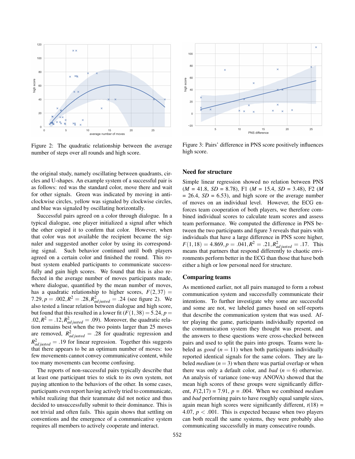<span id="page-4-0"></span>

Figure 2: The quadratic relationship between the average number of steps over all rounds and high score.

the original study, namely oscillating between quadrants, circles and U-shapes. An example system of a successful pair is as follows: red was the standard color, move there and wait for other signals. Green was indicated by moving in anticlockwise circles, yellow was signaled by clockwise circles, and blue was signaled by oscillating horizontally.

Successful pairs agreed on a color through dialogue. In a typical dialogue, one player initialized a signal after which the other copied it to confirm that color. However, when that color was not available the recipient became the signaler and suggested another color by using its corresponding signal. Such behavior continued until both players agreed on a certain color and finished the round. This robust system enabled participants to communicate successfully and gain high scores. We found that this is also reflected in the average number of moves participants made, where dialogue, quantified by the mean number of moves, has a quadratic relationship to higher scores,  $F(2,37) =$ 7.29,  $p = .002$ ,  $R^2 = .28$ ,  $R^2_{adjusted} = .24$  (see figure [2\)](#page-4-0). We also tested a linear relation between dialogue and high score, but found that this resulted in a lower fit  $(F(1,38) = 5.24, p =$  $.02, R^2 = .12, R^2_{adjusted} = .09$ . Moreover, the quadratic relation remains best when the two points larger than 25 moves are removed,  $R_{adjusted}^2 = .28$  for quadratic regression and  $R_{adjusted}^2 = .19$  for linear regression. Together this suggests that there appears to be an optimum number of moves: too few movements cannot convey communicative content, while too many movements can become confusing.

The reports of non-successful pairs typically describe that at least one participant tries to stick to its own system, not paying attention to the behaviors of the other. In some cases, participants even report having actively tried to communicate, whilst realizing that their teammate did not notice and thus decided to unsuccessfully submit to their dominance. This is not trivial and often fails. This again shows that settling on conventions and the emergence of a communicative system requires all members to actively cooperate and interact.

<span id="page-4-1"></span>

Figure 3: Pairs' difference in PNS score positively influences high score.

### Need for structure

Simple linear regression showed no relation between PNS (*M* = 41.8, *SD* = 8.78), F1 (*M* = 15.4, *SD* = 3.48), F2 (*M*  $= 26.4$ , *SD*  $= 6.53$ ), and high score or the average number of moves on an individual level. However, the ECG enforces team cooperation of both players, we therefore combined individual scores to calculate team scores and assess team performance. We computed the difference in PNS between the two participants and figure [3](#page-4-1) reveals that pairs with individuals that have a large difference in PNS score higher,  $F(1,18) = 4.869, p = .041, R^2 = .21, R^2_{adjusted} = .17$ . This means that partners that respond differently to chaotic environments perform better in the ECG than those that have both either a high or low personal need for structure.

# Comparing teams

As mentioned earlier, not all pairs managed to form a robust communication system and successfully communicate their intentions. To further investigate why some are successful and some are not, we labeled games based on self-reports that describe the communication system that was used. After playing the game, participants individually reported on the communication system they thought was present, and the answers to these questions were cross-checked between pairs and used to split the pairs into groups. Teams were labeled as *good*  $(n = 11)$  when both participants individually reported identical signals for the same colors. They are labeled *medium*  $(n = 3)$  when there was partial overlap or when there was only a default color, and *bad*  $(n = 6)$  otherwise. An analysis of variance (one-way ANOVA) showed that the mean high scores of these groups were significantly different,  $F(2,17) = 7.91$ ,  $p = .004$ . When we combined *medium* and *bad* performing pairs to have roughly equal sample sizes, again mean high scores were significantly different,  $t(18) =$ 4.07,  $p < .001$ . This is expected because when two players can both recall the same systems, they were probably also communicating successfully in many consecutive rounds.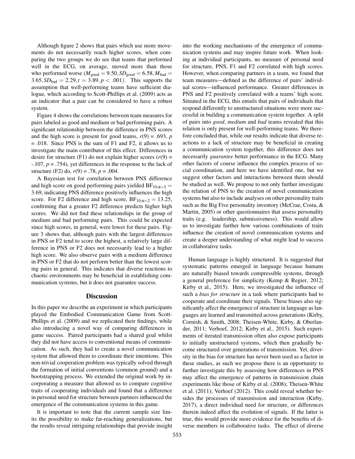Although figure [2](#page-4-0) shows that pairs which use more movements do not necessarily reach higher scores, when comparing the two groups we do see that teams that performed well in the ECG, on average, moved more than those who performed worse ( $M_{good} = 9.50$ ,  $SD_{good} = 6.58$ ,  $M_{bad} =$  $3.65, SD_{bad} = 2.29, t = 3.89, p < .001$ . This supports the assumption that well-performing teams have sufficient dialogue, which according to [Scott-Phillips et al.](#page-7-8) [\(2009\)](#page-7-8) acts as an indicator that a pair can be considered to have a robust system.

Figure [4](#page-6-3) shows the correlations between team measures for pairs labeled as good and medium or bad performing pairs. A significant relationship between the difference in PNS scores and the high score is present for good teams,  $r(9) = .693$ , *p* = .018. Since PNS is the sum of F1 and F2, it allows us to investigate the main contributor of this effect. Differences in desire for structure (F1) do not explain higher scores  $(r(9) =$ -.107, *p* = .754), yet differences in the response to the lack of structure (F2) do,  $r(9) = .78$ ,  $p = .004$ .

A Bayesian test for correlation between PNS difference and high score on good performing pairs yielded  $BF_{10:K=2}$  = 3.69, indicating PNS difference positively influences the high score. For F2 difference and high score,  $BF_{10:K=2} = 13.25$ , confirming that a greater F2 difference predicts higher high scores. We did not find these relationships in the group of medium and bad performing pairs. This could be expected since high scores, in general, were lower for these pairs. Figure [3](#page-4-1) shows that, although pairs with the largest differences in PNS or F2 tend to score the highest, a relatively large difference in PNS or F2 does not necessarily lead to a higher high score. We also observe pairs with a medium difference in PNS or F2 that do not perform better than the lowest scoring pairs in general. This indicates that diverse reactions to chaotic environments may be beneficial in establishing communication systems, but it does not guarantee success.

#### **Discussion**

In this paper we describe an experiment in which participants played the Embodied Communication Game from [Scott-](#page-7-8)[Phillips et al.](#page-7-8) [\(2009\)](#page-7-8) and we replicated their findings, while also introducing a novel way of comparing differences in game success. Paired participants had a shared goal whilst they did not have access to conventional means of communication. As such, they had to create a novel communication system that allowed them to coordinate their intentions. This non-trivial cooperation problem was typically solved through the formation of initial conventions (common ground) and a bootstrapping process. We extended the original work by incorporating a measure that allowed us to compare cognitive traits of cooperating individuals and found that a difference in personal need for structure between partners influenced the emergence of the communication systems in this game.

It is important to note that the current sample size limits the possibility to make far-reaching generalizations, but the results reveal intriguing relationships that provide insight into the working mechanisms of the emergence of communication systems and may inspire future work. When looking at individual participants, no measure of personal need for structure, PNS, F1 and F2 correlated with high scores. However, when comparing partners in a team, we found that team measures—defined as the difference of pairs' individual scores—influenced performance. Greater differences in PNS and F2 positively correlated with a teams' high score. Situated in the ECG, this entails that pairs of individuals that respond differently to unstructured situations were more successful in building a communication system together. A split of pairs into *good*, *medium* and *bad* teams revealed that this relation is only present for well-performing teams. We therefore concluded that, while our results indicate that diverse reactions to a lack of structure may be beneficial in creating a communication system together, this difference does not necessarily *guarantee* better performance in the ECG. Many other factors of course influence the complex process of social coordination, and here we have identified one, but we suggest other factors and interactions between them should be studied as well. We propose to not only further investigate the relation of PNS to the creation of novel communication systems but also to include analyses on other personality traits such as the Big Five personality inventory [\(McCrae, Costa, &](#page-7-11) [Martin, 2005\)](#page-7-11) or other questionnaires that assess personality traits (e.g. leadership, submissiveness). This would allow us to investigate further how various combinations of traits influence the creation of novel communication systems and create a deeper understanding of what might lead to success in collaborative tasks.

Human language is highly structured. It is suggested that systematic patterns emerged in language because humans are naturally biased towards compressible systems, through a general preference for simplicity [\(Kemp & Regier, 2012;](#page-7-4) [Kirby et al., 2015\)](#page-7-5). Here, we investigated the influence of such a *bias for structure* in a task where participants had to cooperate and coordinate their signals. These biases also significantly affect the emergence of structure in language as languages are learned and transmitted across generations [\(Kirby,](#page-7-12) [Cornish, & Smith, 2008;](#page-7-12) [Theisen-White, Kirby, & Oberlan](#page-7-13)[der, 2011;](#page-7-13) [Verhoef, 2012;](#page-7-14) [Kirby et al., 2015\)](#page-7-5). Such experiments of iterated transmission often also expose participants to initially unstructured systems, which then gradually become structured over generations of transmission. Yet, diversity in the bias for structure has never been used as a factor in these studies, as such we propose there is an opportunity to further investigate this by assessing how differences in PNS may affect the emergence of patterns in transmission chain experiments like those of [Kirby et al.](#page-7-12) [\(2008\)](#page-7-12); [Theisen-White](#page-7-13) [et al.](#page-7-13) [\(2011\)](#page-7-13); [Verhoef](#page-7-14) [\(2012\)](#page-7-14). This could reveal whether besides the processes of transmission and interaction [\(Kirby,](#page-7-15) [2017\)](#page-7-15), a direct individual need for structure, or differences therein indeed affect the evolution of signals. If the latter is true, this would provide more evidence for the benefits of diverse members in collaborative tasks. The effect of diverse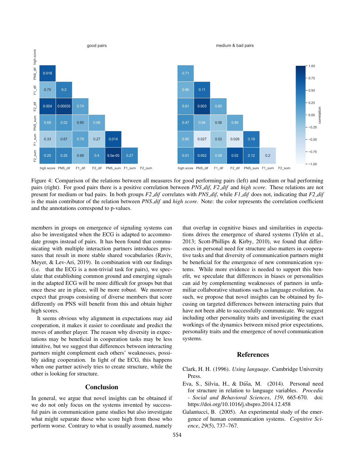<span id="page-6-3"></span>

Figure 4: Comparison of the relations between all measures for good performing pairs (left) and medium or bad performing pairs (right). For good pairs there is a positive correlation between *PNS dif*, *F2 dif* and *high score*. These relations are not present for medium or bad pairs. In both groups *F2 dif* correlates with *PNS dif*, while *F1 dif* does not, indicating that *F2 dif* is the main contributor of the relation between *PNS dif* and *high score*. Note: the color represents the correlation coefficient and the annotations correspond to p-values.

members in groups on emergence of signaling systems can also be investigated when the ECG is adapted to accommodate groups instead of pairs. It has been found that communicating with multiple interaction partners introduces pressures that result in more stable shared vocabularies [\(Raviv,](#page-7-16) [Meyer, & Lev-Ari, 2019\)](#page-7-16). In combination with our findings (i.e. that the ECG is a non-trivial task for pairs), we speculate that establishing common ground and emerging signals in the adapted ECG will be more difficult for groups but that once these are in place, will be more robust. We moreover expect that groups consisting of diverse members that score differently on PNS will benefit from this and obtain higher high scores.

It seems obvious why alignment in expectations may aid cooperation, it makes it easier to coordinate and predict the moves of another player. The reason why diversity in expectations may be beneficial in cooperation tasks may be less intuitive, but we suggest that differences between interacting partners might complement each others' weaknesses, possibly aiding cooperation. In light of the ECG, this happens when one partner actively tries to create structure, while the other is looking for structure.

### Conclusion

In general, we argue that novel insights can be obtained if we do not only focus on the systems invented by successful pairs in communication game studies but also investigate what might separate those who score high from those who perform worse. Contrary to what is usually assumed, namely that overlap in cognitive biases and similarities in expectations drives the emergence of shared systems (Tylén et al., [2013;](#page-7-0) [Scott-Phillips & Kirby, 2010\)](#page-7-1), we found that differences in personal need for structure also matters in cooperative tasks and that diversity of communication partners might be beneficial for the emergence of new communication systems. While more evidence is needed to support this benefit, we speculate that differences in biases or personalities can aid by complementing weaknesses of partners in unfamiliar collaborative situations such as language evolution. As such, we propose that novel insights can be obtained by focusing on targeted differences between interacting pairs that have not been able to successfully communicate. We suggest including other personality traits and investigating the exact workings of the dynamics between mixed prior expectations, personality traits and the emergence of novel communication systems.

# References

- <span id="page-6-0"></span>Clark, H. H. (1996). *Using language*. Cambridge University Press.
- <span id="page-6-1"></span>Eva, S., Silvia, H., & Dáša, M.  $(2014)$ . Personal need for structure in relation to language variables. *Procedia - Social and Behavioral Sciences*, *159*, 665-670. doi: https://doi.org/10.1016/j.sbspro.2014.12.458
- <span id="page-6-2"></span>Galantucci, B. (2005). An experimental study of the emergence of human communication systems. *Cognitive Science*, *29*(5), 737–767.